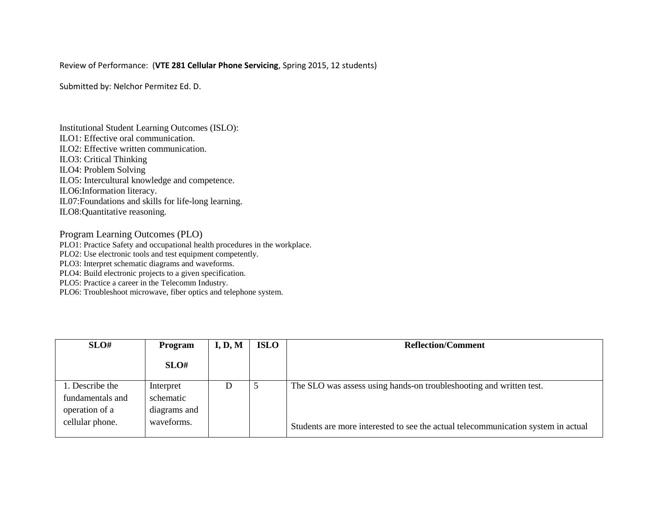## Review of Performance: (**VTE 281 Cellular Phone Servicing**, Spring 2015, 12 students)

Submitted by: Nelchor Permitez Ed. D.

Institutional Student Learning Outcomes (ISLO): ILO1: Effective oral communication. ILO2: Effective written communication. ILO3: Critical Thinking ILO4: Problem Solving ILO5: Intercultural knowledge and competence. ILO6:Information literacy. IL07:Foundations and skills for life-long learning. ILO8:Quantitative reasoning.

Program Learning Outcomes (PLO)

PLO1: Practice Safety and occupational health procedures in the workplace.

PLO2: Use electronic tools and test equipment competently.

PLO3: Interpret schematic diagrams and waveforms.

PLO4: Build electronic projects to a given specification.

PLO5: Practice a career in the Telecomm Industry.

PLO6: Troubleshoot microwave, fiber optics and telephone system.

| SLO#             | Program      | I, D, M | <b>ISLO</b> | <b>Reflection/Comment</b>                                                         |
|------------------|--------------|---------|-------------|-----------------------------------------------------------------------------------|
|                  | SLO#         |         |             |                                                                                   |
| 1. Describe the  | Interpret    | D       | C           | The SLO was assess using hands-on troubleshooting and written test.               |
| fundamentals and | schematic    |         |             |                                                                                   |
| operation of a   | diagrams and |         |             |                                                                                   |
| cellular phone.  | waveforms.   |         |             | Students are more interested to see the actual telecommunication system in actual |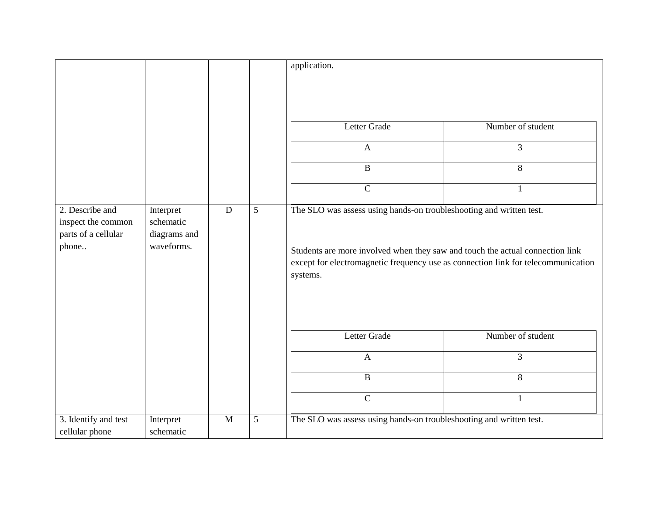|                                                                       |                                                      |           |   | application.<br>Letter Grade<br>$\mathbf{A}$<br>$\, {\bf B}$                                                                                                                                                                                                                 | Number of student<br>$\overline{3}$<br>8 |
|-----------------------------------------------------------------------|------------------------------------------------------|-----------|---|------------------------------------------------------------------------------------------------------------------------------------------------------------------------------------------------------------------------------------------------------------------------------|------------------------------------------|
| 2. Describe and<br>inspect the common<br>parts of a cellular<br>phone | Interpret<br>schematic<br>diagrams and<br>waveforms. | ${\bf D}$ | 5 | $\overline{C}$<br>1<br>The SLO was assess using hands-on troubleshooting and written test.<br>Students are more involved when they saw and touch the actual connection link<br>except for electromagnetic frequency use as connection link for telecommunication<br>systems. |                                          |
|                                                                       |                                                      |           |   | Letter Grade<br>$\overline{A}$                                                                                                                                                                                                                                               | Number of student<br>3                   |
|                                                                       |                                                      |           |   | $\overline{B}$                                                                                                                                                                                                                                                               | 8                                        |
|                                                                       |                                                      |           |   | $\overline{C}$                                                                                                                                                                                                                                                               | $\mathbf{1}$                             |
| 3. Identify and test<br>cellular phone                                | Interpret<br>schematic                               | M         | 5 | The SLO was assess using hands-on troubleshooting and written test.                                                                                                                                                                                                          |                                          |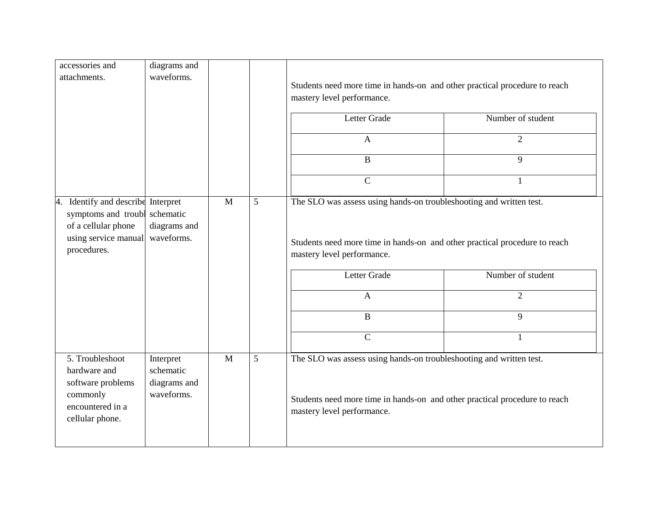| diagrams and                                         |                                                                                                |   |                                                                                                                                                                                 |                   |  |  |
|------------------------------------------------------|------------------------------------------------------------------------------------------------|---|---------------------------------------------------------------------------------------------------------------------------------------------------------------------------------|-------------------|--|--|
| waveforms.                                           |                                                                                                |   | Students need more time in hands-on and other practical procedure to reach                                                                                                      |                   |  |  |
|                                                      |                                                                                                |   | mastery level performance.                                                                                                                                                      |                   |  |  |
|                                                      |                                                                                                |   | Letter Grade                                                                                                                                                                    | Number of student |  |  |
|                                                      |                                                                                                |   | $\mathbf{A}$                                                                                                                                                                    | $\overline{2}$    |  |  |
|                                                      |                                                                                                |   | $\mathbf{B}$                                                                                                                                                                    | 9                 |  |  |
|                                                      |                                                                                                |   | $\mathsf{C}$                                                                                                                                                                    | $\mathbf{1}$      |  |  |
| schematic                                            | $\mathbf{M}$                                                                                   | 5 | The SLO was assess using hands-on troubleshooting and written test.                                                                                                             |                   |  |  |
| waveforms.                                           |                                                                                                |   | Students need more time in hands-on and other practical procedure to reach<br>mastery level performance.                                                                        |                   |  |  |
|                                                      |                                                                                                |   | Letter Grade                                                                                                                                                                    | Number of student |  |  |
|                                                      |                                                                                                |   | $\overline{A}$                                                                                                                                                                  | $\overline{2}$    |  |  |
|                                                      |                                                                                                |   | $\bf{B}$                                                                                                                                                                        | 9                 |  |  |
|                                                      |                                                                                                |   | $\overline{C}$                                                                                                                                                                  | $\mathbf{1}$      |  |  |
| Interpret<br>schematic<br>diagrams and<br>waveforms. | M                                                                                              | 5 | The SLO was assess using hands-on troubleshooting and written test.<br>Students need more time in hands-on and other practical procedure to reach<br>mastery level performance. |                   |  |  |
|                                                      | Identify and describe Interpret<br>symptoms and troubl<br>diagrams and<br>using service manual |   |                                                                                                                                                                                 |                   |  |  |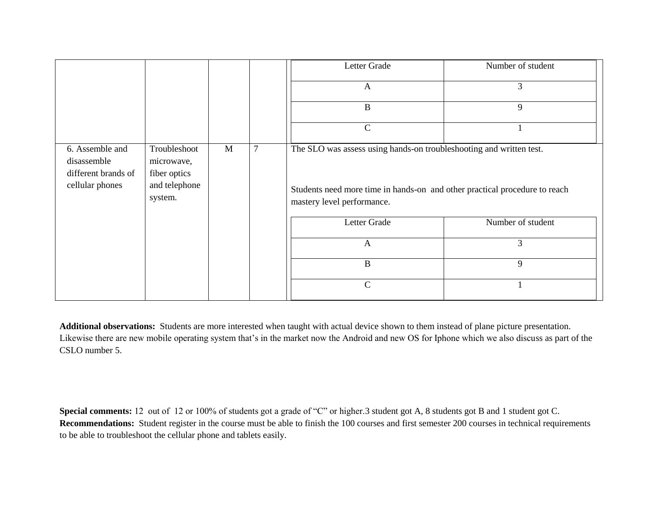|                                                                          |                                                                        |   |                | Letter Grade                                                                                                                                                                    | Number of student |
|--------------------------------------------------------------------------|------------------------------------------------------------------------|---|----------------|---------------------------------------------------------------------------------------------------------------------------------------------------------------------------------|-------------------|
|                                                                          |                                                                        |   |                | $\mathbf{A}$                                                                                                                                                                    | 3                 |
|                                                                          |                                                                        |   |                | $\bf{B}$                                                                                                                                                                        | 9                 |
|                                                                          |                                                                        |   |                | $\mathcal{C}$                                                                                                                                                                   |                   |
| 6. Assemble and<br>disassemble<br>different brands of<br>cellular phones | Troubleshoot<br>microwave,<br>fiber optics<br>and telephone<br>system. | M | $\overline{7}$ | The SLO was assess using hands-on troubleshooting and written test.<br>Students need more time in hands-on and other practical procedure to reach<br>mastery level performance. |                   |
|                                                                          |                                                                        |   |                | Letter Grade                                                                                                                                                                    | Number of student |
|                                                                          |                                                                        |   |                | $\mathbf{A}$                                                                                                                                                                    | $\mathfrak{Z}$    |
|                                                                          |                                                                        |   |                | $\bf{B}$                                                                                                                                                                        | 9                 |
|                                                                          |                                                                        |   |                | $\mathcal{C}$                                                                                                                                                                   |                   |

**Additional observations:** Students are more interested when taught with actual device shown to them instead of plane picture presentation. Likewise there are new mobile operating system that's in the market now the Android and new OS for Iphone which we also discuss as part of the CSLO number 5.

Special comments: 12 out of 12 or 100% of students got a grade of "C" or higher.3 student got A, 8 students got B and 1 student got C. **Recommendations:** Student register in the course must be able to finish the 100 courses and first semester 200 courses in technical requirements to be able to troubleshoot the cellular phone and tablets easily.